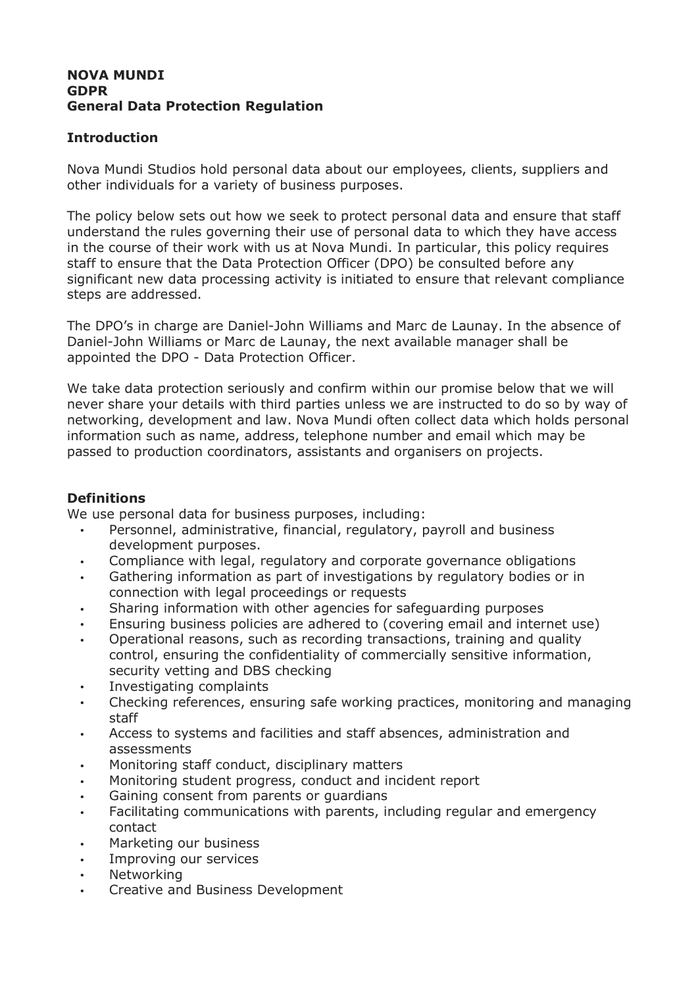#### **NOVA MUNDI GDPR General Data Protection Regulation**

# **Introduction**

Nova Mundi Studios hold personal data about our employees, clients, suppliers and other individuals for a variety of business purposes.

The policy below sets out how we seek to protect personal data and ensure that staff understand the rules governing their use of personal data to which they have access in the course of their work with us at Nova Mundi. In particular, this policy requires staff to ensure that the Data Protection Officer (DPO) be consulted before any significant new data processing activity is initiated to ensure that relevant compliance steps are addressed.

The DPO's in charge are Daniel-John Williams and Marc de Launay. In the absence of Daniel-John Williams or Marc de Launay, the next available manager shall be appointed the DPO - Data Protection Officer.

We take data protection seriously and confirm within our promise below that we will never share your details with third parties unless we are instructed to do so by way of networking, development and law. Nova Mundi often collect data which holds personal information such as name, address, telephone number and email which may be passed to production coordinators, assistants and organisers on projects.

## **Definitions**

We use personal data for business purposes, including:

- Personnel, administrative, financial, regulatory, payroll and business development purposes.
- Compliance with legal, regulatory and corporate governance obligations
- Gathering information as part of investigations by regulatory bodies or in connection with legal proceedings or requests
- Sharing information with other agencies for safeguarding purposes
- Ensuring business policies are adhered to (covering email and internet use)
- Operational reasons, such as recording transactions, training and quality control, ensuring the confidentiality of commercially sensitive information, security vetting and DBS checking
- Investigating complaints
- Checking references, ensuring safe working practices, monitoring and managing staff
- Access to systems and facilities and staff absences, administration and assessments
- Monitoring staff conduct, disciplinary matters
- Monitoring student progress, conduct and incident report
- Gaining consent from parents or guardians
- Facilitating communications with parents, including regular and emergency contact
- Marketing our business
- Improving our services
- **Networking**
- Creative and Business Development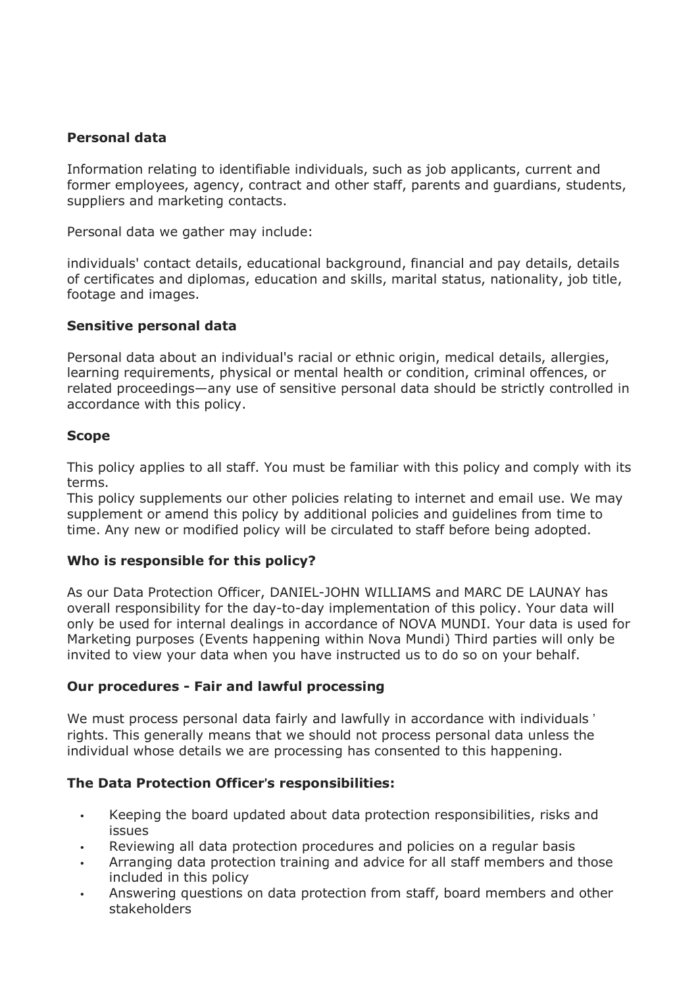# **Personal data**

Information relating to identifiable individuals, such as job applicants, current and former employees, agency, contract and other staff, parents and guardians, students, suppliers and marketing contacts.

Personal data we gather may include:

individuals' contact details, educational background, financial and pay details, details of certificates and diplomas, education and skills, marital status, nationality, job title, footage and images.

## **Sensitive personal data**

Personal data about an individual's racial or ethnic origin, medical details, allergies, learning requirements, physical or mental health or condition, criminal offences, or related proceedings—any use of sensitive personal data should be strictly controlled in accordance with this policy.

## **Scope**

This policy applies to all staff. You must be familiar with this policy and comply with its terms.

This policy supplements our other policies relating to internet and email use. We may supplement or amend this policy by additional policies and guidelines from time to time. Any new or modified policy will be circulated to staff before being adopted.

#### **Who is responsible for this policy?**

As our Data Protection Officer, DANIEL-JOHN WILLIAMS and MARC DE LAUNAY has overall responsibility for the day-to-day implementation of this policy. Your data will only be used for internal dealings in accordance of NOVA MUNDI. Your data is used for Marketing purposes (Events happening within Nova Mundi) Third parties will only be invited to view your data when you have instructed us to do so on your behalf.

## **Our procedures - Fair and lawful processing**

We must process personal data fairly and lawfully in accordance with individuals ' rights. This generally means that we should not process personal data unless the individual whose details we are processing has consented to this happening.

## **The Data Protection Officer**"**s responsibilities:**

- Keeping the board updated about data protection responsibilities, risks and issues
- Reviewing all data protection procedures and policies on a regular basis
- Arranging data protection training and advice for all staff members and those included in this policy
- Answering questions on data protection from staff, board members and other stakeholders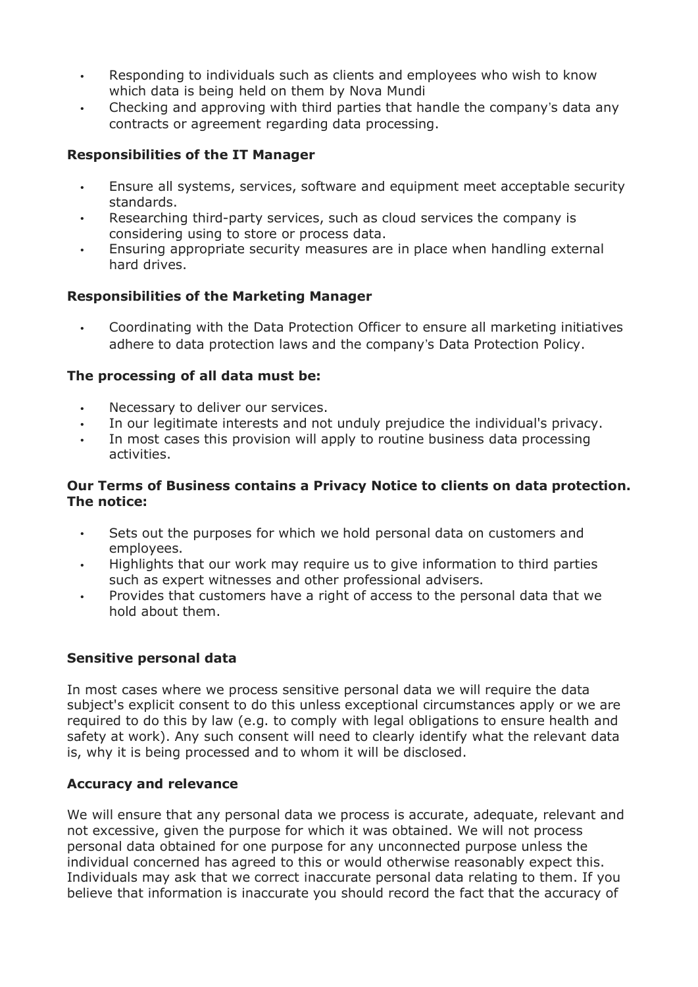- Responding to individuals such as clients and employees who wish to know which data is being held on them by Nova Mundi
- Checking and approving with third parties that handle the company"s data any contracts or agreement regarding data processing.

# **Responsibilities of the IT Manager**

- Ensure all systems, services, software and equipment meet acceptable security standards.
- Researching third-party services, such as cloud services the company is considering using to store or process data.
- Ensuring appropriate security measures are in place when handling external hard drives.

## **Responsibilities of the Marketing Manager**

• Coordinating with the Data Protection Officer to ensure all marketing initiatives adhere to data protection laws and the company"s Data Protection Policy.

## **The processing of all data must be:**

- Necessary to deliver our services.
- In our legitimate interests and not unduly prejudice the individual's privacy.
- In most cases this provision will apply to routine business data processing activities.

## **Our Terms of Business contains a Privacy Notice to clients on data protection. The notice:**

- Sets out the purposes for which we hold personal data on customers and employees.
- Highlights that our work may require us to give information to third parties such as expert witnesses and other professional advisers.
- Provides that customers have a right of access to the personal data that we hold about them.

# **Sensitive personal data**

In most cases where we process sensitive personal data we will require the data subject's explicit consent to do this unless exceptional circumstances apply or we are required to do this by law (e.g. to comply with legal obligations to ensure health and safety at work). Any such consent will need to clearly identify what the relevant data is, why it is being processed and to whom it will be disclosed.

# **Accuracy and relevance**

We will ensure that any personal data we process is accurate, adequate, relevant and not excessive, given the purpose for which it was obtained. We will not process personal data obtained for one purpose for any unconnected purpose unless the individual concerned has agreed to this or would otherwise reasonably expect this. Individuals may ask that we correct inaccurate personal data relating to them. If you believe that information is inaccurate you should record the fact that the accuracy of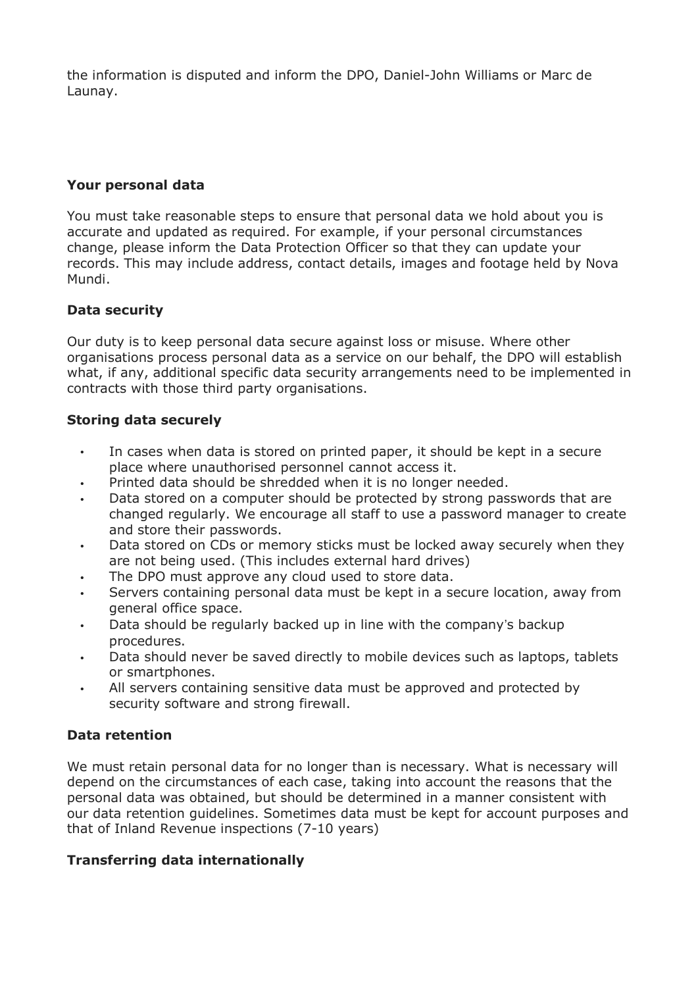the information is disputed and inform the DPO, Daniel-John Williams or Marc de Launay.

# **Your personal data**

You must take reasonable steps to ensure that personal data we hold about you is accurate and updated as required. For example, if your personal circumstances change, please inform the Data Protection Officer so that they can update your records. This may include address, contact details, images and footage held by Nova Mundi.

# **Data security**

Our duty is to keep personal data secure against loss or misuse. Where other organisations process personal data as a service on our behalf, the DPO will establish what, if any, additional specific data security arrangements need to be implemented in contracts with those third party organisations.

## **Storing data securely**

- In cases when data is stored on printed paper, it should be kept in a secure place where unauthorised personnel cannot access it.
- Printed data should be shredded when it is no longer needed.
- Data stored on a computer should be protected by strong passwords that are changed regularly. We encourage all staff to use a password manager to create and store their passwords.
- Data stored on CDs or memory sticks must be locked away securely when they are not being used. (This includes external hard drives)
- The DPO must approve any cloud used to store data.
- Servers containing personal data must be kept in a secure location, away from general office space.
- Data should be regularly backed up in line with the company"s backup procedures.
- Data should never be saved directly to mobile devices such as laptops, tablets or smartphones.
- All servers containing sensitive data must be approved and protected by security software and strong firewall.

# **Data retention**

We must retain personal data for no longer than is necessary. What is necessary will depend on the circumstances of each case, taking into account the reasons that the personal data was obtained, but should be determined in a manner consistent with our data retention guidelines. Sometimes data must be kept for account purposes and that of Inland Revenue inspections (7-10 years)

# **Transferring data internationally**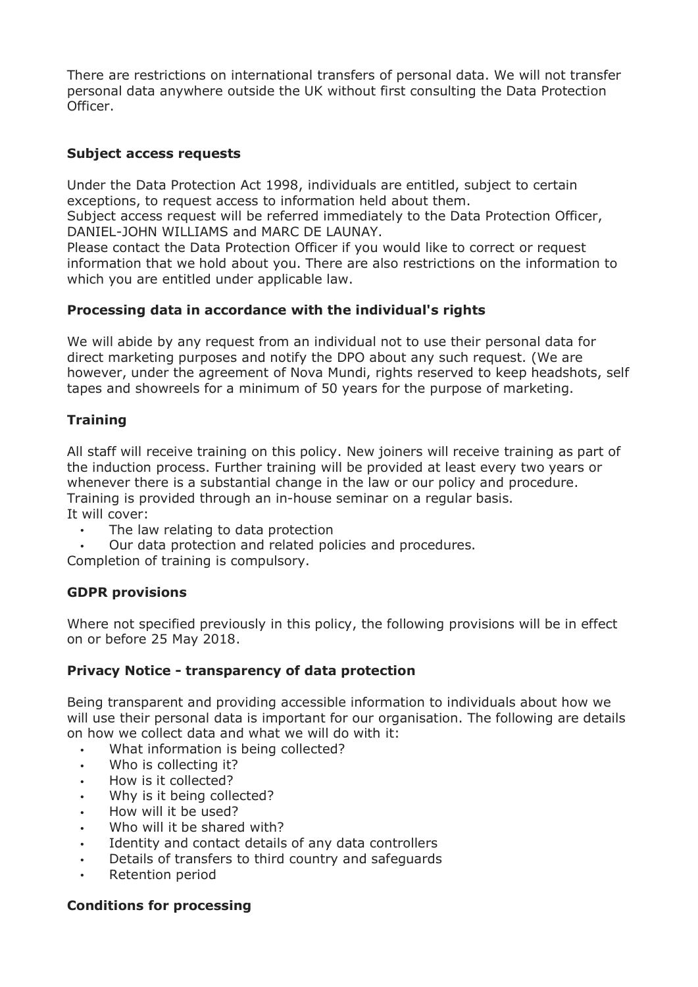There are restrictions on international transfers of personal data. We will not transfer personal data anywhere outside the UK without first consulting the Data Protection Officer.

# **Subject access requests**

Under the Data Protection Act 1998, individuals are entitled, subject to certain exceptions, to request access to information held about them.

Subject access request will be referred immediately to the Data Protection Officer, DANIEL-JOHN WILLIAMS and MARC DE LAUNAY.

Please contact the Data Protection Officer if you would like to correct or request information that we hold about you. There are also restrictions on the information to which you are entitled under applicable law.

# **Processing data in accordance with the individual's rights**

We will abide by any request from an individual not to use their personal data for direct marketing purposes and notify the DPO about any such request. (We are however, under the agreement of Nova Mundi, rights reserved to keep headshots, self tapes and showreels for a minimum of 50 years for the purpose of marketing.

# **Training**

All staff will receive training on this policy. New joiners will receive training as part of the induction process. Further training will be provided at least every two years or whenever there is a substantial change in the law or our policy and procedure. Training is provided through an in-house seminar on a regular basis. It will cover:

- The law relating to data protection
- Our data protection and related policies and procedures.

Completion of training is compulsory.

## **GDPR provisions**

Where not specified previously in this policy, the following provisions will be in effect on or before 25 May 2018.

# **Privacy Notice - transparency of data protection**

Being transparent and providing accessible information to individuals about how we will use their personal data is important for our organisation. The following are details on how we collect data and what we will do with it:

- What information is being collected?
- Who is collecting it?
- How is it collected?
- Why is it being collected?
- How will it be used?
- Who will it be shared with?
- Identity and contact details of any data controllers
- Details of transfers to third country and safeguards
- Retention period

## **Conditions for processing**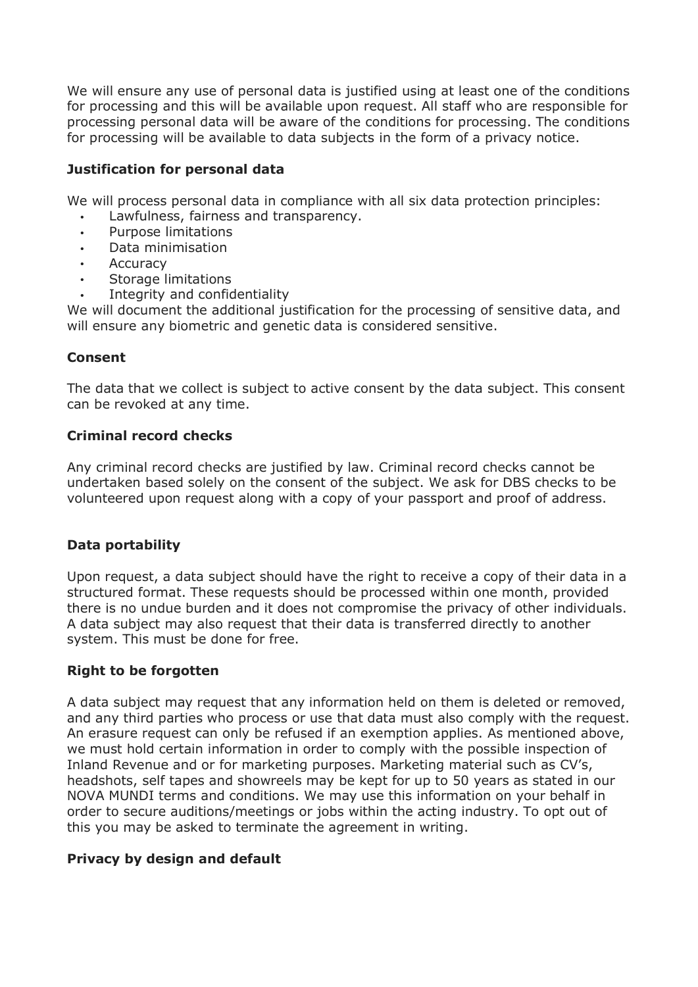We will ensure any use of personal data is justified using at least one of the conditions for processing and this will be available upon request. All staff who are responsible for processing personal data will be aware of the conditions for processing. The conditions for processing will be available to data subjects in the form of a privacy notice.

# **Justification for personal data**

We will process personal data in compliance with all six data protection principles:

- Lawfulness, fairness and transparency.
- Purpose limitations
- Data minimisation
- **Accuracy**
- Storage limitations
- Integrity and confidentiality

We will document the additional justification for the processing of sensitive data, and will ensure any biometric and genetic data is considered sensitive.

# **Consent**

The data that we collect is subject to active consent by the data subject. This consent can be revoked at any time.

# **Criminal record checks**

Any criminal record checks are justified by law. Criminal record checks cannot be undertaken based solely on the consent of the subject. We ask for DBS checks to be volunteered upon request along with a copy of your passport and proof of address.

## **Data portability**

Upon request, a data subject should have the right to receive a copy of their data in a structured format. These requests should be processed within one month, provided there is no undue burden and it does not compromise the privacy of other individuals. A data subject may also request that their data is transferred directly to another system. This must be done for free.

## **Right to be forgotten**

A data subject may request that any information held on them is deleted or removed, and any third parties who process or use that data must also comply with the request. An erasure request can only be refused if an exemption applies. As mentioned above, we must hold certain information in order to comply with the possible inspection of Inland Revenue and or for marketing purposes. Marketing material such as CV's, headshots, self tapes and showreels may be kept for up to 50 years as stated in our NOVA MUNDI terms and conditions. We may use this information on your behalf in order to secure auditions/meetings or jobs within the acting industry. To opt out of this you may be asked to terminate the agreement in writing.

# **Privacy by design and default**